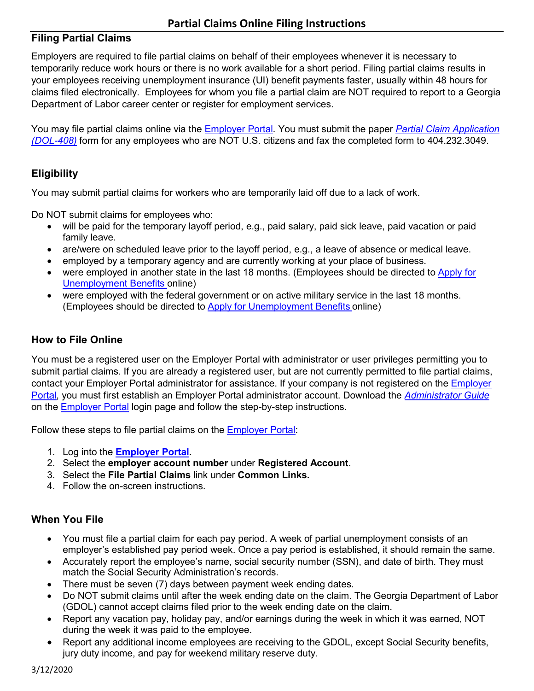## **Filing Partial Claims**

Employers are required to file partial claims on behalf of their employees whenever it is necessary to temporarily reduce work hours or there is no work available for a short period. Filing partial claims results in your employees receiving unemployment insurance (UI) benefit payments faster, usually within 48 hours for claims filed electronically. Employees for whom you file a partial claim are NOT required to report to a Georgia Department of Labor career center or register for employment services.

You may file partial claims online via the [Employer Portal.](https://eresponse.gdol.ga.gov/idp/sso/employer/login) You must submit the paper *[Partial Claim Application](https://dol.georgia.gov/document/publication/partial-claim-form-dol-408/download)  [\(DOL-408\)](https://dol.georgia.gov/document/publication/partial-claim-form-dol-408/download)* form for any employees who are NOT U.S. citizens and fax the completed form to 404.232.3049.

## **Eligibility**

You may submit partial claims for workers who are temporarily laid off due to a lack of work.

Do NOT submit claims for employees who:

- will be paid for the temporary layoff period, e.g., paid salary, paid sick leave, paid vacation or paid family leave.
- are/were on scheduled leave prior to the layoff period, e.g., a leave of absence or medical leave.
- employed by a temporary agency and are currently working at your place of business.
- were employed in another state in the last 18 months. (Employees should be directed to [Apply for](https://www.dol.state.ga.us/fileaclaim)  [Unemployment Benefits](https://www.dol.state.ga.us/fileaclaim) online)
- were employed with the federal government or on active military service in the last 18 months. (Employees should be directed to [Apply for Unemployment Benefits](https://www.dol.state.ga.us/fileaclaim) online)

#### **How to File Online**

You must be a registered user on the Employer Portal with administrator or user privileges permitting you to submit partial claims. If you are already a registered user, but are not currently permitted to file partial claims, contact your [Employer](https://eresponse.gdol.ga.gov/idp/sso/employer/login) Portal administrator for assistance. If your company is not registered on the **Employer** [Portal,](https://eresponse.gdol.ga.gov/idp/sso/employer/login) you must first establish an Employer Portal administrator account. Download the *[Administrator Guide](https://eresponse.gdol.ga.gov/pdf/uitax/EmployerPortalAdministratorGuide.pdf)* on the [Employer Portal](https://eresponse.gdol.ga.gov/idp/sso/employer/login) login page and follow the step-by-step instructions.

Follow these steps to file partial claims on the [Employer Portal:](https://eresponse.gdol.ga.gov/idp/sso/employer/login)

- 1. Log into the **[Employer Portal.](https://eresponse.gdol.ga.gov/idp/sso/employer/login)**
- 2. Select the **employer account number** under **Registered Account**.
- 3. Select the **File Partial Claims** link under **Common Links.**
- 4. Follow the on-screen instructions.

## **When You File**

- You must file a partial claim for each pay period. A week of partial unemployment consists of an employer's established pay period week. Once a pay period is established, it should remain the same.
- Accurately report the employee's name, social security number (SSN), and date of birth. They must match the Social Security Administration's records.
- There must be seven (7) days between payment week ending dates.
- Do NOT submit claims until after the week ending date on the claim. The Georgia Department of Labor (GDOL) cannot accept claims filed prior to the week ending date on the claim.
- Report any vacation pay, holiday pay, and/or earnings during the week in which it was earned, NOT during the week it was paid to the employee.
- Report any additional income employees are receiving to the GDOL, except Social Security benefits, jury duty income, and pay for weekend military reserve duty.